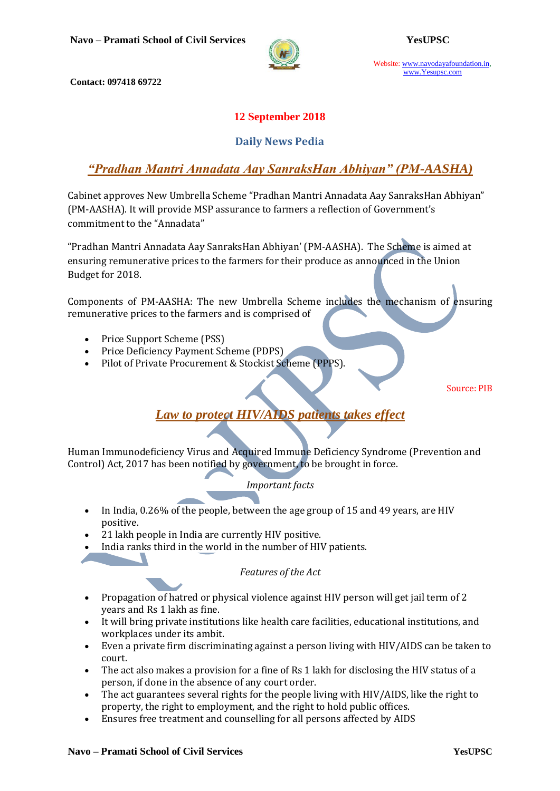

Website: www.navodayafoundation.in, www.Yesupsc.com

**Contact: 097418 69722**

## **12 September 2018**

### **Daily News Pedia**

## *"Pradhan Mantri Annadata Aay SanraksHan Abhiyan" (PM-AASHA)*

Cabinet approves New Umbrella Scheme "Pradhan Mantri Annadata Aay SanraksHan Abhiyan" (PM-AASHA). It will provide MSP assurance to farmers a reflection of Government's commitment to the "Annadata"

"Pradhan Mantri Annadata Aay SanraksHan Abhiyan' (PM-AASHA). The Scheme is aimed at ensuring remunerative prices to the farmers for their produce as announced in the Union Budget for 2018.

Components of PM-AASHA: The new Umbrella Scheme includes the mechanism of ensuring remunerative prices to the farmers and is comprised of

- Price Support Scheme (PSS)
- Price Deficiency Payment Scheme (PDPS)
- Pilot of Private Procurement & Stockist Scheme (PPPS).

Source: PIB

# *[Law to protect HIV/AIDS patients takes effect](https://www.hindustantimes.com/india-news/2-years-in-jail-rs-1-lakh-fine-for-discriminating-against-people-with-hiv-aids/story-1BkQao5rB1RlqiLp8MokuN.html)*

Human Immunodeficiency Virus and Acquired Immune Deficiency Syndrome (Prevention and Control) Act, 2017 has been notified by government, to be brought in force.

### *Important facts*

- In India, 0.26% of the people, between the age group of 15 and 49 years, are HIV positive.
- 21 lakh people in India are currently HIV positive.
- India ranks third in the world in the number of HIV patients.

### *Features of the Act*

- Propagation of hatred or physical violence against HIV person will get jail term of 2 years and Rs 1 lakh as fine.
- It will bring private institutions like health care facilities, educational institutions, and workplaces under its ambit.
- Even a private firm discriminating against a person living with HIV/AIDS can be taken to court.
- The act also makes a provision for a fine of Rs 1 lakh for disclosing the HIV status of a person, if done in the absence of any court order.
- The act guarantees several rights for the people living with HIV/AIDS, like the right to property, the right to employment, and the right to hold public offices.
- Ensures free treatment and counselling for all persons affected by AIDS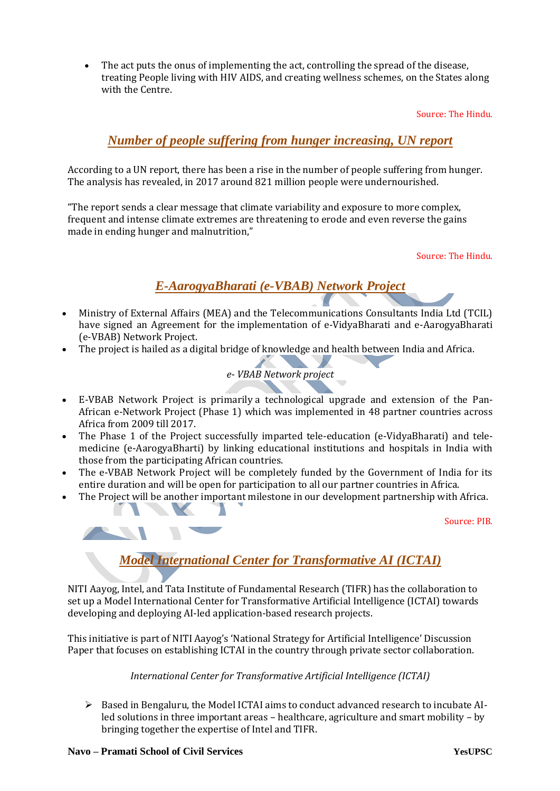The act puts the onus of implementing the act, controlling the spread of the disease, treating People living with HIV AIDS, and creating wellness schemes, on the States along with the Centre.

Source: The Hindu.

## *[Number of people suffering from hunger increasing, UN report](https://indianexpress.com/article/lifestyle/health/number-of-people-suffering-from-hunger-increased-un-report-5350759/)*

According to a UN report, there has been a rise in the number of people suffering from hunger. The analysis has revealed, in 2017 around 821 million people were undernourished.

"The report sends a clear message that climate variability and exposure to more complex, frequent and intense climate extremes are threatening to erode and even reverse the gains made in ending hunger and malnutrition,"

Source: The Hindu.

## *E-AarogyaBharati (e-VBAB) Network Project*

- Ministry of External Affairs (MEA) and the Telecommunications Consultants India Ltd (TCIL) have signed an Agreement for the implementation of e-VidyaBharati and e-AarogyaBharati (e-VBAB) Network Project.
- The project is hailed as a digital bridge of knowledge and health between India and Africa.



- E-VBAB Network Project is primarily a technological upgrade and extension of the Pan-African e-Network Project (Phase 1) which was implemented in 48 partner countries across Africa from 2009 till 2017.
- The Phase 1 of the Project successfully imparted tele-education (e-VidyaBharati) and telemedicine (e-AarogyaBharti) by linking educational institutions and hospitals in India with those from the participating African countries.
- The e-VBAB Network Project will be completely funded by the Government of India for its entire duration and will be open for participation to all our partner countries in Africa.
- The Project will be another important milestone in our development partnership with Africa.

Source: PIB.



# *Model International Center for Transformative AI (ICTAI)*

NITI Aayog, Intel, and Tata Institute of Fundamental Research (TIFR) has the collaboration to set up a Model International Center for Transformative Artificial Intelligence (ICTAI) towards developing and deploying AI-led application-based research projects.

This initiative is part of NITI Aayog's 'National Strategy for Artificial Intelligence' Discussion Paper that focuses on establishing ICTAI in the country through private sector collaboration.

*International Center for Transformative Artificial Intelligence (ICTAI)*

 $\triangleright$  Based in Bengaluru, the Model ICTAI aims to conduct advanced research to incubate AIled solutions in three important areas – healthcare, agriculture and smart mobility – by bringing together the expertise of Intel and TIFR.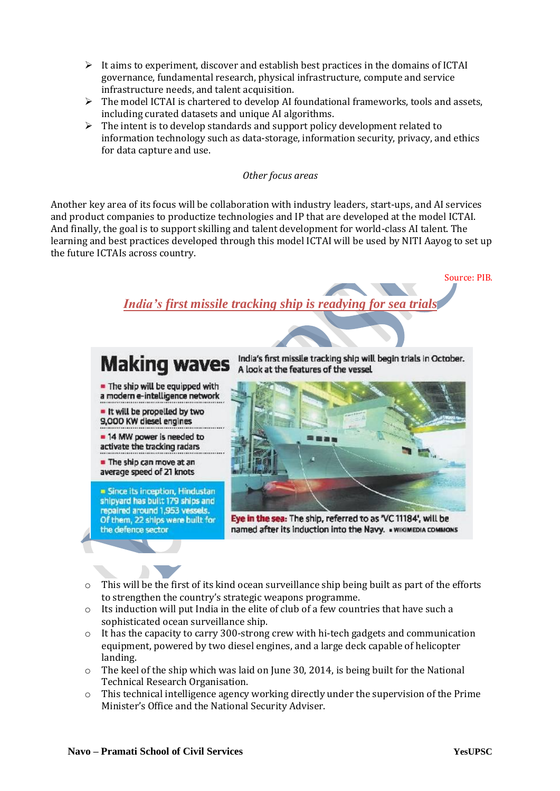- $\triangleright$  It aims to experiment, discover and establish best practices in the domains of ICTAI governance, fundamental research, physical infrastructure, compute and service infrastructure needs, and talent acquisition.
- $\triangleright$  The model ICTAI is chartered to develop AI foundational frameworks, tools and assets, including curated datasets and unique AI algorithms.
- $\triangleright$  The intent is to develop standards and support policy development related to information technology such as data-storage, information security, privacy, and ethics for data capture and use.

*Other focus areas*

Another key area of its focus will be collaboration with industry leaders, start-ups, and AI services and product companies to productize technologies and IP that are developed at the model ICTAI. And finally, the goal is to support skilling and talent development for world-class AI talent. The learning and best practices developed through this model ICTAI will be used by NITI Aayog to set up the future ICTAIs across country.



- o This will be the first of its kind ocean surveillance ship being built as part of the efforts to strengthen the country's strategic weapons programme.
- o Its induction will put India in the elite of club of a few countries that have such a sophisticated ocean surveillance ship.
- o It has the capacity to carry 300-strong crew with hi-tech gadgets and communication equipment, powered by two diesel engines, and a large deck capable of helicopter landing.
- $\circ$  The keel of the ship which was laid on June 30, 2014, is being built for the National Technical Research Organisation.
- o This technical intelligence agency working directly under the supervision of the Prime Minister's Office and the National Security Adviser.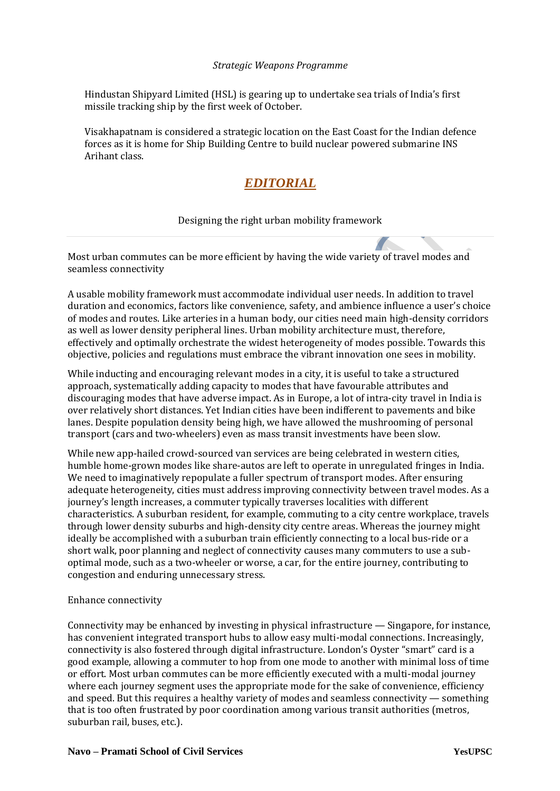#### *Strategic Weapons Programme*

Hindustan Shipyard Limited (HSL) is gearing up to undertake sea trials of India's first missile tracking ship by the first week of October.

Visakhapatnam is considered a strategic location on the East Coast for the Indian defence forces as it is home for Ship Building Centre to build nuclear powered submarine INS Arihant class.

# *EDITORIAL*

### Designing the right urban mobility framework

Most urban commutes can be more efficient by having the wide variety of travel modes and seamless connectivity

A usable mobility framework must accommodate individual user needs. In addition to travel duration and economics, factors like convenience, safety, and ambience influence a user's choice of modes and routes. Like arteries in a human body, our cities need main high-density corridors as well as lower density peripheral lines. Urban mobility architecture must, therefore, effectively and optimally orchestrate the widest heterogeneity of modes possible. Towards this objective, policies and regulations must embrace the vibrant innovation one sees in mobility.

While inducting and encouraging relevant modes in a city, it is useful to take a structured approach, systematically adding capacity to modes that have favourable attributes and discouraging modes that have adverse impact. As in Europe, a lot of intra-city travel in India is over relatively short distances. Yet Indian cities have been indifferent to pavements and bike lanes. Despite population density being high, we have allowed the mushrooming of personal transport (cars and two-wheelers) even as mass transit investments have been slow.

While new app-hailed crowd-sourced van services are being celebrated in western cities, humble home-grown modes like share-autos are left to operate in unregulated fringes in India. We need to imaginatively repopulate a fuller spectrum of transport modes. After ensuring adequate heterogeneity, cities must address improving connectivity between travel modes. As a journey's length increases, a commuter typically traverses localities with different characteristics. A suburban resident, for example, commuting to a city centre workplace, travels through lower density suburbs and high-density city centre areas. Whereas the journey might ideally be accomplished with a suburban train efficiently connecting to a local bus-ride or a short walk, poor planning and neglect of connectivity causes many commuters to use a suboptimal mode, such as a two-wheeler or worse, a car, for the entire journey, contributing to congestion and enduring unnecessary stress.

#### Enhance connectivity

Connectivity may be enhanced by investing in physical infrastructure — Singapore, for instance, has convenient integrated transport hubs to allow easy multi-modal connections. Increasingly, connectivity is also fostered through digital infrastructure. London's Oyster "smart" card is a good example, allowing a commuter to hop from one mode to another with minimal loss of time or effort. Most urban commutes can be more efficiently executed with a multi-modal journey where each journey segment uses the appropriate mode for the sake of convenience, efficiency and speed. But this requires a healthy variety of modes and seamless connectivity — something that is too often frustrated by poor coordination among various transit authorities (metros, suburban rail, buses, etc.).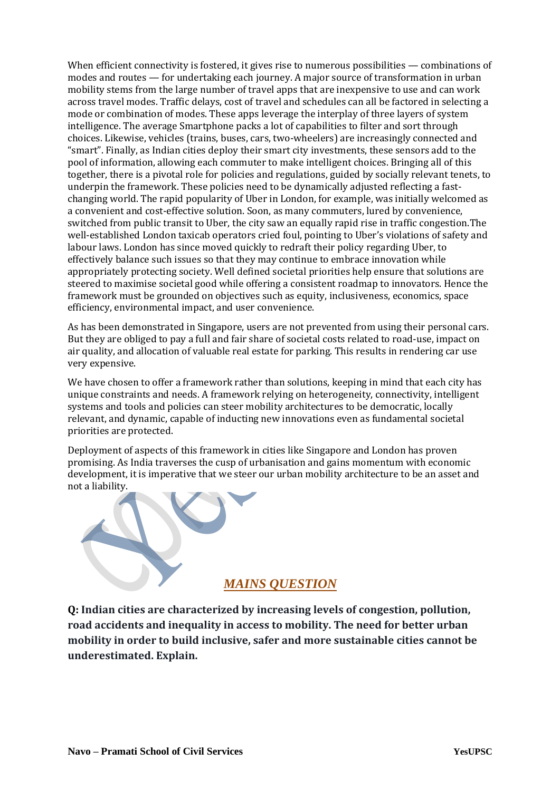When efficient connectivity is fostered, it gives rise to numerous possibilities — combinations of modes and routes — for undertaking each journey. A major source of transformation in urban mobility stems from the large number of travel apps that are inexpensive to use and can work across travel modes. Traffic delays, cost of travel and schedules can all be factored in selecting a mode or combination of modes. These apps leverage the interplay of three layers of system intelligence. The average Smartphone packs a lot of capabilities to filter and sort through choices. Likewise, vehicles (trains, buses, cars, two-wheelers) are increasingly connected and "smart". Finally, as Indian cities deploy their smart city investments, these sensors add to the pool of information, allowing each commuter to make intelligent choices. Bringing all of this together, there is a pivotal role for policies and regulations, guided by socially relevant tenets, to underpin the framework. These policies need to be dynamically adjusted reflecting a fastchanging world. The rapid popularity of Uber in London, for example, was initially welcomed as a convenient and cost-effective solution. Soon, as many commuters, lured by convenience, switched from public transit to Uber, the city saw an equally rapid rise in traffic congestion.The well-established London taxicab operators cried foul, pointing to Uber's violations of safety and labour laws. London has since moved quickly to redraft their policy regarding Uber, to effectively balance such issues so that they may continue to embrace innovation while appropriately protecting society. Well defined societal priorities help ensure that solutions are steered to maximise societal good while offering a consistent roadmap to innovators. Hence the framework must be grounded on objectives such as equity, inclusiveness, economics, space efficiency, environmental impact, and user convenience.

As has been demonstrated in Singapore, users are not prevented from using their personal cars. But they are obliged to pay a full and fair share of societal costs related to road-use, impact on air quality, and allocation of valuable real estate for parking. This results in rendering car use very expensive.

We have chosen to offer a framework rather than solutions, keeping in mind that each city has unique constraints and needs. A framework relying on heterogeneity, connectivity, intelligent systems and tools and policies can steer mobility architectures to be democratic, locally relevant, and dynamic, capable of inducting new innovations even as fundamental societal priorities are protected.

Deployment of aspects of this framework in cities like Singapore and London has proven promising. As India traverses the cusp of urbanisation and gains momentum with economic development, it is imperative that we steer our urban mobility architecture to be an asset and not a liability.



**Q: Indian cities are characterized by increasing levels of congestion, pollution, road accidents and inequality in access to mobility. The need for better urban mobility in order to build inclusive, safer and more sustainable cities cannot be underestimated. Explain.**